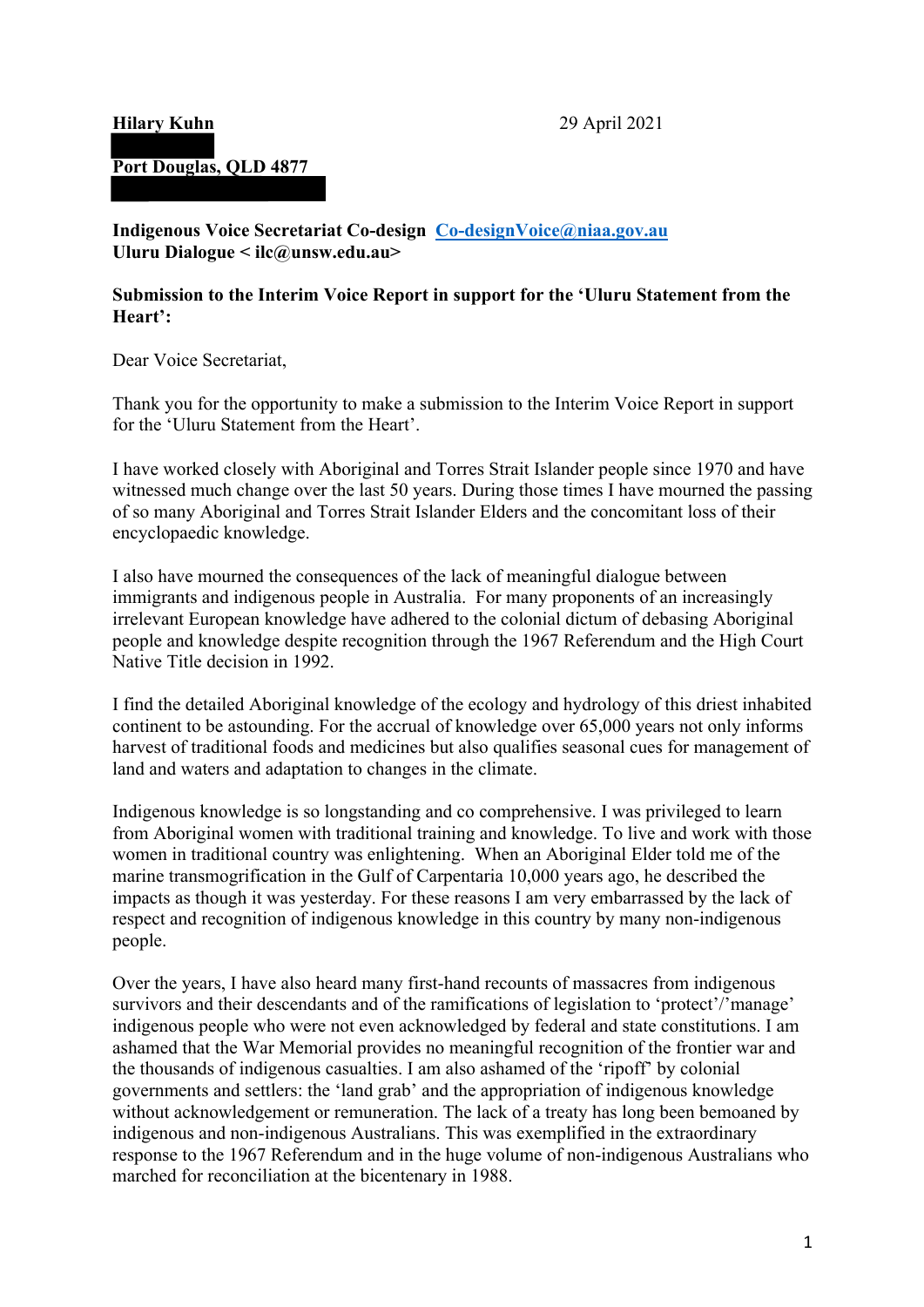## **Hilary Kuhn**

# **Port Douglas, QLD 4877**

 **Indigenous Voice Secretariat Co-design Co-designVoice@niaa.gov.au Uluru Dialogue < ilc@unsw.edu.au>**  Uluru Dialogue < ilc@unsw.edu.au>

## **Submission to the Interim Voice Report in support for the 'Uluru Statement from the Heart':**

Dear Voice Secretariat,

Thank you for the opportunity to make a submission to the Interim Voice Report in support for the 'Uluru Statement from the Heart'.

 witnessed much change over the last 50 years. During those times I have mourned the passing I have worked closely with Aboriginal and Torres Strait Islander people since 1970 and have of so many Aboriginal and Torres Strait Islander Elders and the concomitant loss of their encyclopaedic knowledge.

 immigrants and indigenous people in Australia. For many proponents of an increasingly Native Title decision in 1992. I also have mourned the consequences of the lack of meaningful dialogue between irrelevant European knowledge have adhered to the colonial dictum of debasing Aboriginal people and knowledge despite recognition through the 1967 Referendum and the High Court

Native Title decision in 1992.<br>I find the detailed Aboriginal knowledge of the ecology and hydrology of this driest inhabited continent to be astounding. For the accrual of knowledge over 65,000 years not only informs harvest of traditional foods and medicines but also qualifies seasonal cues for management of land and waters and adaptation to changes in the climate.

 from Aboriginal women with traditional training and knowledge. To live and work with those Indigenous knowledge is so longstanding and co comprehensive. I was privileged to learn women in traditional country was enlightening. When an Aboriginal Elder told me of the marine transmogrification in the Gulf of Carpentaria 10,000 years ago, he described the impacts as though it was yesterday. For these reasons I am very embarrassed by the lack of respect and recognition of indigenous knowledge in this country by many non-indigenous people.

 Over the years, I have also heard many first-hand recounts of massacres from indigenous survivors and their descendants and of the ramifications of legislation to 'protect'/'manage' indigenous people who were not even acknowledged by federal and state constitutions. I am ashamed that the War Memorial provides no meaningful recognition of the frontier war and the thousands of indigenous casualties. I am also ashamed of the 'ripoff' by colonial governments and settlers: the 'land grab' and the appropriation of indigenous knowledge without acknowledgement or remuneration. The lack of a treaty has long been bemoaned by indigenous and non-indigenous Australians. This was exemplified in the extraordinary response to the 1967 Referendum and in the huge volume of non-indigenous Australians who marched for reconciliation at the bicentenary in 1988.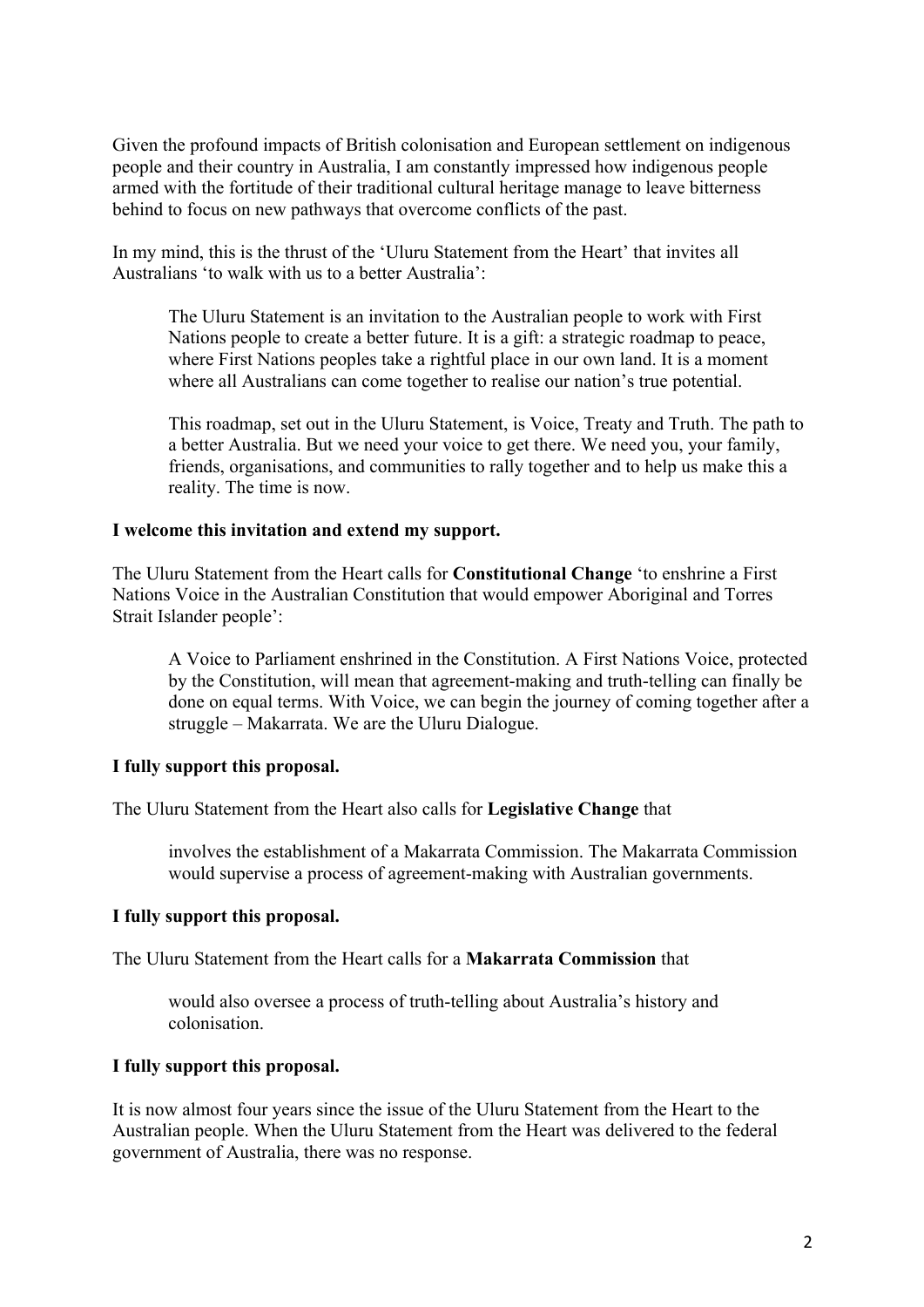behind to focus on new pathways that overcome conflicts of the past. Given the profound impacts of British colonisation and European settlement on indigenous people and their country in Australia, I am constantly impressed how indigenous people armed with the fortitude of their traditional cultural heritage manage to leave bitterness

In my mind, this is the thrust of the 'Uluru Statement from the Heart' that invites all Australians 'to walk with us to a better Australia':

The Uluru Statement is an invitation to the Australian people to work with First Nations people to create a better future. It is a gift: a strategic roadmap to peace, where First Nations peoples take a rightful place in our own land. It is a moment where all Australians can come together to realise our nation's true potential.

This roadmap, set out in the Uluru Statement, is Voice, Treaty and Truth. The path to a better Australia. But we need your voice to get there. We need you, your family, friends, organisations, and communities to rally together and to help us make this a reality. The time is now.

#### **I welcome this invitation and extend my support.**

The Uluru Statement from the Heart calls for **Constitutional Change** 'to enshrine a First Nations Voice in the Australian Constitution that would empower Aboriginal and Torres Strait Islander people':

 struggle – Makarrata. We are the Uluru Dialogue. A Voice to Parliament enshrined in the Constitution. A First Nations Voice, protected by the Constitution, will mean that agreement-making and truth-telling can finally be done on equal terms. With Voice, we can begin the journey of coming together after a

## **I fully support this proposal.**

The Uluru Statement from the Heart also calls for **Legislative Change** that

involves the establishment of a Makarrata Commission. The Makarrata Commission would supervise a process of agreement-making with Australian governments.

## **I fully support this proposal.**

The Uluru Statement from the Heart calls for a **Makarrata Commission** that

would also oversee a process of truth-telling about Australia's history and colonisation.

## **I fully support this proposal.**

 It is now almost four years since the issue of the Uluru Statement from the Heart to the Australian people. When the Uluru Statement from the Heart was delivered to the federal government of Australia, there was no response.